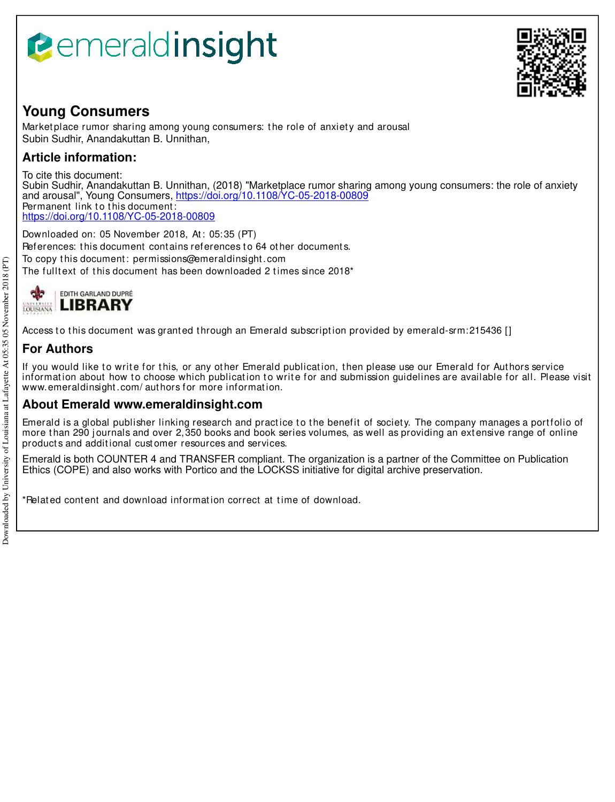# **B**emeraldinsight



## **Young Consumers**

Market place rumor sharing among young consumers: the role of anxiety and arousal Subin Sudhir, Anandakuttan B. Unnithan,

## **Article information:**

To cite this document:

Subin Sudhir, Anandakuttan B. Unnithan, (2018) "Marketplace rumor sharing among young consumers: the role of anxiety and arousal", Young Consumers, https://doi.org/10.1108/YC-05-2018-00809 Permanent link to this document: https://doi.org/10.1108/YC-05-2018-00809

Downloaded on: 05 November 2018, At : 05:35 (PT) References: this document contains references to 64 other documents. To copy t his document : permissions@emeraldinsight .com The fulltext of this document has been downloaded 2 times since 2018\*



Access to this document was granted through an Emerald subscription provided by emerald-srm:215436 []

## **For Authors**

If you would like to write for this, or any other Emerald publication, then please use our Emerald for Authors service information about how to choose which publication to write for and submission quidelines are available for all. Please visit www.emeraldinsight .com/ aut hors for more informat ion.

### **About Emerald www.emeraldinsight.com**

Emerald is a global publisher linking research and practice to the benefit of society. The company manages a portfolio of more than 290 journals and over 2,350 books and book series volumes, as well as providing an extensive range of online product s and addit ional cust omer resources and services.

Emerald is both COUNTER 4 and TRANSFER compliant. The organization is a partner of the Committee on Publication Ethics (COPE) and also works with Portico and the LOCKSS initiative for digital archive preservation.

\*Relat ed cont ent and download informat ion correct at t ime of download.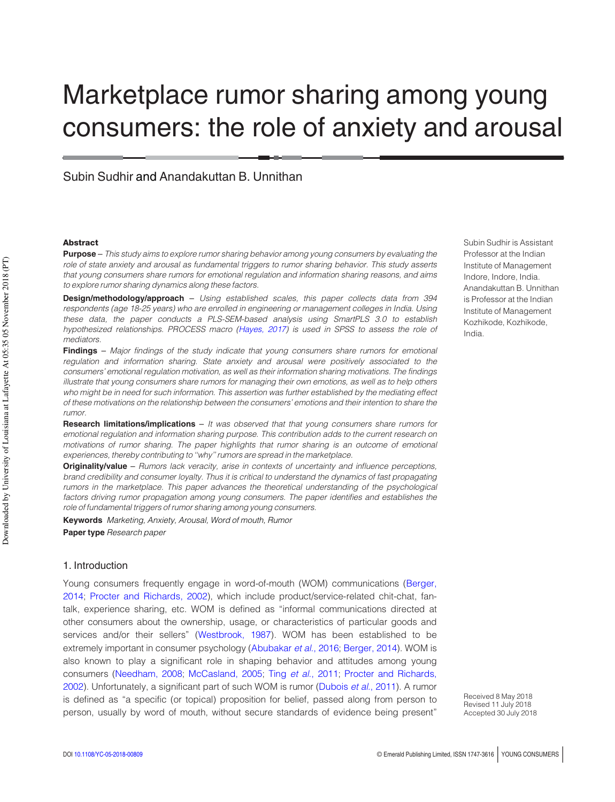## Marketplace rumor sharing among young consumers: the role of anxiety and arousal

Subin Sudhir and Anandakuttan B. Unnithan

#### **Abstract**

Purpose – *This study aims to explore rumor sharing behavior among young consumers by evaluating the role of state anxiety and arousal as fundamental triggers to rumor sharing behavior. This study asserts that young consumers share rumors for emotional regulation and information sharing reasons, and aims to explore rumor sharing dynamics along these factors.*

Design/methodology/approach – *Using established scales, this paper collects data from 394 respondents (age 18-25 years) who are enrolled in engineering or management colleges in India. Using these data, the paper conducts a PLS-SEM-based analysis using SmartPLS 3.0 to establish hypothesized relationships. PROCESS macro (Hayes, 2017) is used in SPSS to assess the role of mediators.*

Findings – *Major findings of the study indicate that young consumers share rumors for emotional regulation and information sharing. State anxiety and arousal were positively associated to the consumers' emotional regulation motivation, as well as their information sharing motivations. The findings illustrate that young consumers share rumors for managing their own emotions, as well as to help others who might be in need for such information. This assertion was further established by the mediating effect of these motivations on the relationship between the consumers' emotions and their intention to share the rumor.*

Research limitations/implications – *It was observed that that young consumers share rumors for emotional regulation and information sharing purpose. This contribution adds to the current research on motivations of rumor sharing. The paper highlights that rumor sharing is an outcome of emotional experiences, thereby contributing to ''why'' rumors are spread in the marketplace.*

Originality/value – *Rumors lack veracity, arise in contexts of uncertainty and influence perceptions, brand credibility and consumer loyalty. Thus it is critical to understand the dynamics of fast propagating rumors in the marketplace. This paper advances the theoretical understanding of the psychological factors driving rumor propagation among young consumers. The paper identifies and establishes the role of fundamental triggers of rumor sharing among young consumers.*

Keywords *Marketing, Anxiety, Arousal, Word of mouth, Rumor* Paper type *Research paper*

#### 1. Introduction

Young consumers frequently engage in word-of-mouth (WOM) communications (Berger, 2014; Procter and Richards, 2002), which include product/service-related chit-chat, fantalk, experience sharing, etc. WOM is defined as "informal communications directed at other consumers about the ownership, usage, or characteristics of particular goods and services and/or their sellers" (Westbrook, 1987). WOM has been established to be extremely important in consumer psychology (Abubakar *et al.*, 2016; Berger, 2014). WOM is also known to play a significant role in shaping behavior and attitudes among young consumers (Needham, 2008; McCasland, 2005; Ting *et al.*, 2011; Procter and Richards, 2002). Unfortunately, a significant part of such WOM is rumor (Dubois *et al.*, 2011). A rumor is defined as "a specific (or topical) proposition for belief, passed along from person to person, usually by word of mouth, without secure standards of evidence being present" DOI 10.11 In the conservation of the method of the conservation of the conservation of the conservation of the conservation of the conservation of the conservation of the conservation of the conservation of the conservat

Subin Sudhir is Assistant Professor at the Indian Institute of Management Indore, Indore, India. Anandakuttan B. Unnithan is Professor at the Indian Institute of Management Kozhikode, Kozhikode, India.

Received 8 May 2018 Revised 11 July 2018 Accepted 30 July 2018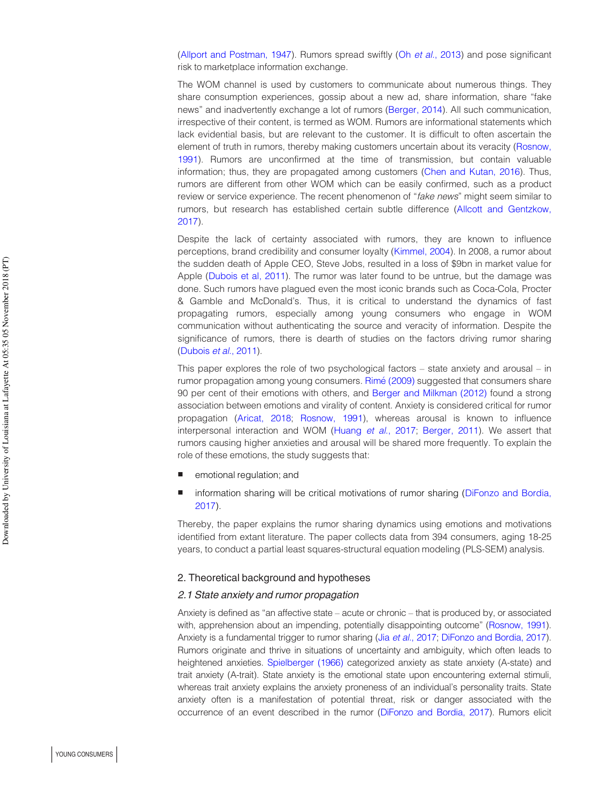(Allport and Postman, 1947). Rumors spread swiftly (Oh *et al.*, 2013) and pose significant risk to marketplace information exchange.

The WOM channel is used by customers to communicate about numerous things. They share consumption experiences, gossip about a new ad, share information, share "fake news" and inadvertently exchange a lot of rumors (Berger, 2014). All such communication, irrespective of their content, is termed as WOM. Rumors are informational statements which lack evidential basis, but are relevant to the customer. It is difficult to often ascertain the element of truth in rumors, thereby making customers uncertain about its veracity (Rosnow, 1991). Rumors are unconfirmed at the time of transmission, but contain valuable information; thus, they are propagated among customers (Chen and Kutan, 2016). Thus, rumors are different from other WOM which can be easily confirmed, such as a product review or service experience. The recent phenomenon of "*fake news*" might seem similar to rumors, but research has established certain subtle difference (Allcott and Gentzkow, 2017).

Despite the lack of certainty associated with rumors, they are known to influence perceptions, brand credibility and consumer loyalty (Kimmel, 2004). In 2008, a rumor about the sudden death of Apple CEO, Steve Jobs, resulted in a loss of \$9bn in market value for Apple (Dubois et al, 2011). The rumor was later found to be untrue, but the damage was done. Such rumors have plagued even the most iconic brands such as Coca-Cola, Procter & Gamble and McDonald's. Thus, it is critical to understand the dynamics of fast propagating rumors, especially among young consumers who engage in WOM communication without authenticating the source and veracity of information. Despite the significance of rumors, there is dearth of studies on the factors driving rumor sharing (Dubois *et al.*, 2011).

This paper explores the role of two psychological factors – state anxiety and arousal – in rumor propagation among young consumers. Rimé (2009) suggested that consumers share 90 per cent of their emotions with others, and Berger and Milkman (2012) found a strong association between emotions and virality of content. Anxiety is considered critical for rumor propagation (Aricat, 2018; Rosnow, 1991), whereas arousal is known to influence interpersonal interaction and WOM (Huang *et al.*, 2017; Berger, 2011). We assert that rumors causing higher anxieties and arousal will be shared more frequently. To explain the role of these emotions, the study suggests that:

- emotional regulation; and
- **Information sharing will be critical motivations of rumor sharing (DiFonzo and Bordia,** 2017).

Thereby, the paper explains the rumor sharing dynamics using emotions and motivations identified from extant literature. The paper collects data from 394 consumers, aging 18-25 years, to conduct a partial least squares-structural equation modeling (PLS-SEM) analysis.

#### 2. Theoretical background and hypotheses

#### 2.1 State anxiety and rumor propagation

Anxiety is defined as "an affective state – acute or chronic – that is produced by, or associated with, apprehension about an impending, potentially disappointing outcome" (Rosnow, 1991). Anxiety is a fundamental trigger to rumor sharing (Jia *et al.*, 2017; DiFonzo and Bordia, 2017). Rumors originate and thrive in situations of uncertainty and ambiguity, which often leads to heightened anxieties. Spielberger (1966) categorized anxiety as state anxiety (A-state) and trait anxiety (A-trait). State anxiety is the emotional state upon encountering external stimuli, whereas trait anxiety explains the anxiety proneness of an individual's personality traits. State anxiety often is a manifestation of potential threat, risk or danger associated with the occurrence of an event described in the rumor (DiFonzo and Bordia, 2017). Rumors elicit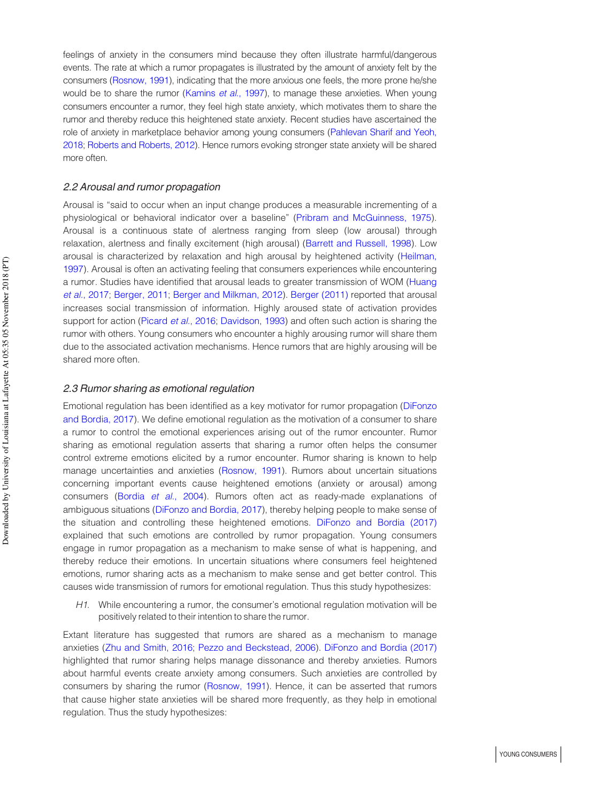feelings of anxiety in the consumers mind because they often illustrate harmful/dangerous events. The rate at which a rumor propagates is illustrated by the amount of anxiety felt by the consumers (Rosnow, 1991), indicating that the more anxious one feels, the more prone he/she would be to share the rumor (Kamins *et al.*, 1997), to manage these anxieties. When young consumers encounter a rumor, they feel high state anxiety, which motivates them to share the rumor and thereby reduce this heightened state anxiety. Recent studies have ascertained the role of anxiety in marketplace behavior among young consumers (Pahlevan Sharif and Yeoh, 2018; Roberts and Roberts, 2012). Hence rumors evoking stronger state anxiety will be shared more often.

#### 2.2 Arousal and rumor propagation

Arousal is "said to occur when an input change produces a measurable incrementing of a physiological or behavioral indicator over a baseline" (Pribram and McGuinness, 1975). Arousal is a continuous state of alertness ranging from sleep (low arousal) through relaxation, alertness and finally excitement (high arousal) (Barrett and Russell, 1998). Low arousal is characterized by relaxation and high arousal by heightened activity (Heilman, 1997). Arousal is often an activating feeling that consumers experiences while encountering a rumor. Studies have identified that arousal leads to greater transmission of WOM (Huang *et al.*, 2017; Berger, 2011; Berger and Milkman, 2012). Berger (2011) reported that arousal increases social transmission of information. Highly aroused state of activation provides support for action (Picard *et al.*, 2016; Davidson, 1993) and often such action is sharing the rumor with others. Young consumers who encounter a highly arousing rumor will share them due to the associated activation mechanisms. Hence rumors that are highly arousing will be shared more often.

#### 2.3 Rumor sharing as emotional regulation

Emotional regulation has been identified as a key motivator for rumor propagation (DiFonzo and Bordia, 2017). We define emotional regulation as the motivation of a consumer to share a rumor to control the emotional experiences arising out of the rumor encounter. Rumor sharing as emotional regulation asserts that sharing a rumor often helps the consumer control extreme emotions elicited by a rumor encounter. Rumor sharing is known to help manage uncertainties and anxieties (Rosnow, 1991). Rumors about uncertain situations concerning important events cause heightened emotions (anxiety or arousal) among consumers (Bordia *et al.*, 2004). Rumors often act as ready-made explanations of ambiguous situations (DiFonzo and Bordia, 2017), thereby helping people to make sense of the situation and controlling these heightened emotions. DiFonzo and Bordia (2017) explained that such emotions are controlled by rumor propagation. Young consumers engage in rumor propagation as a mechanism to make sense of what is happening, and thereby reduce their emotions. In uncertain situations where consumers feel heightened emotions, rumor sharing acts as a mechanism to make sense and get better control. This causes wide transmission of rumors for emotional regulation. Thus this study hypothesizes: **EVALUATION** According to the manufacture of the manufacture at the manufacture of the manufacture at  $\approx 20$ . The propose that the manufacture at Lafayette At 10:35 The propose that at Lafayette At 10:35 05 November 201

*H1*. While encountering a rumor, the consumer's emotional regulation motivation will be positively related to their intention to share the rumor.

Extant literature has suggested that rumors are shared as a mechanism to manage anxieties (Zhu and Smith, 2016; Pezzo and Beckstead, 2006). DiFonzo and Bordia (2017) highlighted that rumor sharing helps manage dissonance and thereby anxieties. Rumors about harmful events create anxiety among consumers. Such anxieties are controlled by consumers by sharing the rumor (Rosnow, 1991). Hence, it can be asserted that rumors that cause higher state anxieties will be shared more frequently, as they help in emotional regulation. Thus the study hypothesizes: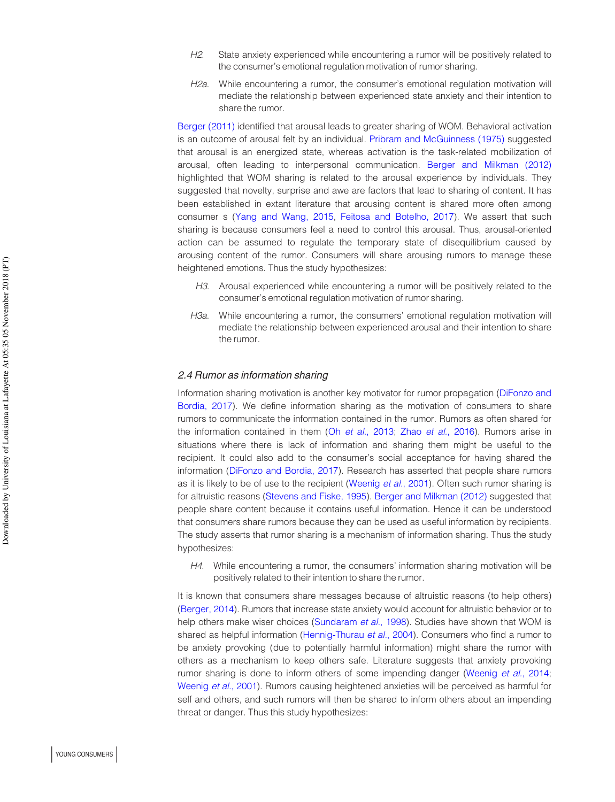- *H2*. State anxiety experienced while encountering a rumor will be positively related to the consumer's emotional regulation motivation of rumor sharing.
- *H2a*. While encountering a rumor, the consumer's emotional regulation motivation will mediate the relationship between experienced state anxiety and their intention to share the rumor.

Berger (2011) identified that arousal leads to greater sharing of WOM. Behavioral activation is an outcome of arousal felt by an individual. Pribram and McGuinness (1975) suggested that arousal is an energized state, whereas activation is the task-related mobilization of arousal, often leading to interpersonal communication. Berger and Milkman (2012) highlighted that WOM sharing is related to the arousal experience by individuals. They suggested that novelty, surprise and awe are factors that lead to sharing of content. It has been established in extant literature that arousing content is shared more often among consumer s (Yang and Wang, 2015, Feitosa and Botelho, 2017). We assert that such sharing is because consumers feel a need to control this arousal. Thus, arousal-oriented action can be assumed to regulate the temporary state of disequilibrium caused by arousing content of the rumor. Consumers will share arousing rumors to manage these heightened emotions. Thus the study hypothesizes:

- *H3*. Arousal experienced while encountering a rumor will be positively related to the consumer's emotional regulation motivation of rumor sharing.
- *H3a*. While encountering a rumor, the consumers' emotional regulation motivation will mediate the relationship between experienced arousal and their intention to share the rumor.

#### 2.4 Rumor as information sharing

Information sharing motivation is another key motivator for rumor propagation (DiFonzo and Bordia, 2017). We define information sharing as the motivation of consumers to share rumors to communicate the information contained in the rumor. Rumors as often shared for the information contained in them (Oh *et al.*, 2013; Zhao *et al.*, 2016). Rumors arise in situations where there is lack of information and sharing them might be useful to the recipient. It could also add to the consumer's social acceptance for having shared the information (DiFonzo and Bordia, 2017). Research has asserted that people share rumors as it is likely to be of use to the recipient (Weenig *et al.*, 2001). Often such rumor sharing is for altruistic reasons (Stevens and Fiske, 1995). Berger and Milkman (2012) suggested that people share content because it contains useful information. Hence it can be understood that consumers share rumors because they can be used as useful information by recipients. The study asserts that rumor sharing is a mechanism of information sharing. Thus the study hypothesizes:

*H4*. While encountering a rumor, the consumers' information sharing motivation will be positively related to their intention to share the rumor.

It is known that consumers share messages because of altruistic reasons (to help others) (Berger, 2014). Rumors that increase state anxiety would account for altruistic behavior or to help others make wiser choices (Sundaram *et al.*, 1998). Studies have shown that WOM is shared as helpful information (Hennig-Thurau *et al.*, 2004). Consumers who find a rumor to be anxiety provoking (due to potentially harmful information) might share the rumor with others as a mechanism to keep others safe. Literature suggests that anxiety provoking rumor sharing is done to inform others of some impending danger (Weenig *et al.*, 2014; Weenig *et al.*, 2001). Rumors causing heightened anxieties will be perceived as harmful for self and others, and such rumors will then be shared to inform others about an impending threat or danger. Thus this study hypothesizes: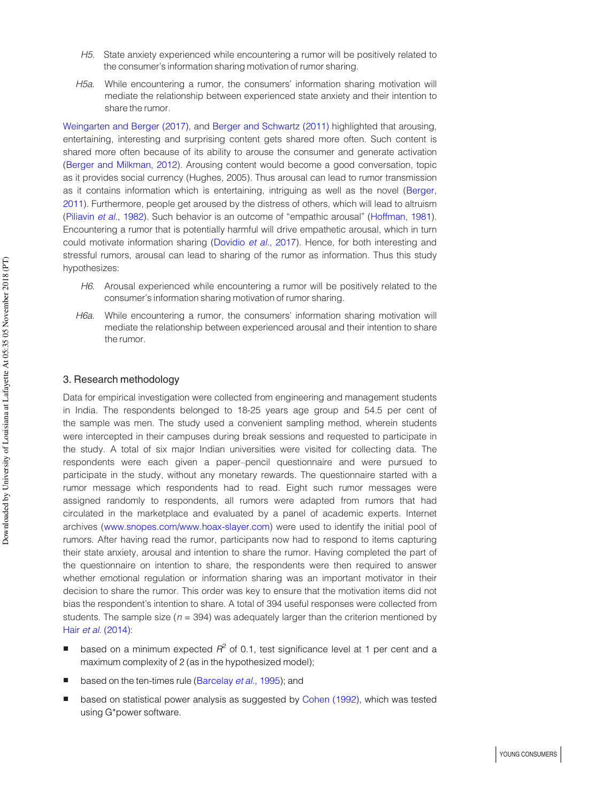- *H5*. State anxiety experienced while encountering a rumor will be positively related to the consumer's information sharing motivation of rumor sharing.
- *H5a*. While encountering a rumor, the consumers' information sharing motivation will mediate the relationship between experienced state anxiety and their intention to share the rumor.

Weingarten and Berger (2017), and Berger and Schwartz (2011) highlighted that arousing, entertaining, interesting and surprising content gets shared more often. Such content is shared more often because of its ability to arouse the consumer and generate activation (Berger and Milkman, 2012). Arousing content would become a good conversation, topic as it provides social currency (Hughes, 2005). Thus arousal can lead to rumor transmission as it contains information which is entertaining, intriguing as well as the novel (Berger, 2011). Furthermore, people get aroused by the distress of others, which will lead to altruism (Piliavin *et al.*, 1982). Such behavior is an outcome of "empathic arousal" (Hoffman, 1981). Encountering a rumor that is potentially harmful will drive empathetic arousal, which in turn could motivate information sharing (Dovidio *et al.*, 2017). Hence, for both interesting and stressful rumors, arousal can lead to sharing of the rumor as information. Thus this study hypothesizes:

- *H6*. Arousal experienced while encountering a rumor will be positively related to the consumer's information sharing motivation of rumor sharing.
- *H6a*. While encountering a rumor, the consumers' information sharing motivation will mediate the relationship between experienced arousal and their intention to share the rumor.

#### 3. Research methodology

Data for empirical investigation were collected from engineering and management students in India. The respondents belonged to 18-25 years age group and 54.5 per cent of the sample was men. The study used a convenient sampling method, wherein students were intercepted in their campuses during break sessions and requested to participate in the study. A total of six major Indian universities were visited for collecting data. The respondents were each given a paper–pencil questionnaire and were pursued to participate in the study, without any monetary rewards. The questionnaire started with a rumor message which respondents had to read. Eight such rumor messages were assigned randomly to respondents, all rumors were adapted from rumors that had circulated in the marketplace and evaluated by a panel of academic experts. Internet archives (www.snopes.com/www.hoax-slayer.com) were used to identify the initial pool of rumors. After having read the rumor, participants now had to respond to items capturing their state anxiety, arousal and intention to share the rumor. Having completed the part of the questionnaire on intention to share, the respondents were then required to answer whether emotional regulation or information sharing was an important motivator in their decision to share the rumor. This order was key to ensure that the motivation items did not bias the respondent's intention to share. A total of 394 useful responses were collected from students. The sample size  $(n = 394)$  was adequately larger than the criterion mentioned by Hair *et al*. (2014): From the consultance of the consultance of the consultance of the consultance of the consultance of the consultance of Louisiana at Lafayette At Disc and the Consultance of Louisiana at Lafayette At  $\frac{1}{2}$  S. The metho

- $\blacksquare$  based on a minimum expected  $R^2$  of 0.1, test significance level at 1 per cent and a maximum complexity of 2 (as in the hypothesized model);
- based on the ten-times rule (Barcelay *et al.*, 1995); and
- based on statistical power analysis as suggested by Cohen (1992), which was tested using G\*power software.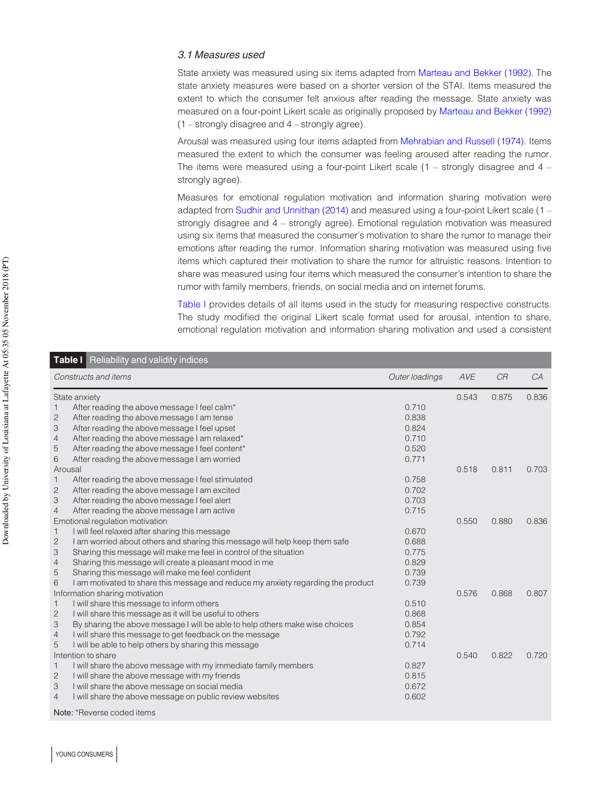#### 3.1 Measures used

State anxiety was measured using six items adapted from Marteau and Bekker (1992). The state anxiety measures were based on a shorter version of the STAI. Items measured the extent to which the consumer felt anxious after reading the message. State anxiety was measured on a four-point Likert scale as originally proposed by Marteau and Bekker (1992) (1 – strongly disagree and 4 – strongly agree).

Arousal was measured using four items adapted from Mehrabian and Russell (1974). Items measured the extent to which the consumer was feeling aroused after reading the rumor. The items were measured using a four-point Likert scale  $(1 -$  strongly disagree and  $4$ strongly agree).

Measures for emotional regulation motivation and information sharing motivation were adapted from Sudhir and Unnithan (2014) and measured using a four-point Likert scale (1 strongly disagree and 4 – strongly agree). Emotional regulation motivation was measured using six items that measured the consumer's motivation to share the rumor to manage their emotions after reading the rumor. Information sharing motivation was measured using five items which captured their motivation to share the rumor for altruistic reasons. Intention to share was measured using four items which measured the consumer's intention to share the rumor with family members, friends, on social media and on internet forums.

|                                                            | Table I provides details of all items used in the study for measuring respective constructs.<br>The study modified the original Likert scale format used for arousal, intention to share,<br>emotional regulation motivation and information sharing motivation and used a consistent |                |            |       |
|------------------------------------------------------------|---------------------------------------------------------------------------------------------------------------------------------------------------------------------------------------------------------------------------------------------------------------------------------------|----------------|------------|-------|
| Table I Reliability and validity indices                   |                                                                                                                                                                                                                                                                                       |                |            |       |
| Constructs and items                                       |                                                                                                                                                                                                                                                                                       | Outer loadings | <b>AVE</b> | CR    |
| State anxiety                                              |                                                                                                                                                                                                                                                                                       |                | 0.543      | 0.875 |
| 1                                                          | After reading the above message I feel calm*                                                                                                                                                                                                                                          | 0.710          |            |       |
| $\overline{c}$                                             | After reading the above message I am tense                                                                                                                                                                                                                                            | 0.838          |            |       |
| 3                                                          | After reading the above message I feel upset                                                                                                                                                                                                                                          | 0.824          |            |       |
| 4                                                          | After reading the above message I am relaxed*                                                                                                                                                                                                                                         | 0.710          |            |       |
| 5                                                          | After reading the above message I feel content*                                                                                                                                                                                                                                       | 0.520          |            |       |
| 6                                                          | After reading the above message I am worried                                                                                                                                                                                                                                          | 0.771          |            |       |
| Arousal                                                    |                                                                                                                                                                                                                                                                                       |                | 0.518      | 0.811 |
| $\mathbf{1}$                                               | After reading the above message I feel stimulated                                                                                                                                                                                                                                     | 0.758<br>0.702 |            |       |
| $\overline{c}$                                             | After reading the above message I am excited                                                                                                                                                                                                                                          | 0.703          |            |       |
| 3<br>After reading the above message I feel alert<br>4     | After reading the above message I am active                                                                                                                                                                                                                                           | 0.715          |            |       |
| Emotional regulation motivation                            |                                                                                                                                                                                                                                                                                       |                | 0.550      | 0.880 |
| I will feel relaxed after sharing this message             |                                                                                                                                                                                                                                                                                       | 0.670          |            |       |
| $\mathbf{1}$<br>$\mathbf{2}$                               | I am worried about others and sharing this message will help keep them safe                                                                                                                                                                                                           | 0.688          |            |       |
| $\ensuremath{\mathsf{3}}$                                  | Sharing this message will make me feel in control of the situation                                                                                                                                                                                                                    | 0.775          |            |       |
| $\overline{\mathcal{L}}$                                   | Sharing this message will create a pleasant mood in me                                                                                                                                                                                                                                | 0.829          |            |       |
| 5                                                          | Sharing this message will make me feel confident                                                                                                                                                                                                                                      | 0.739          |            |       |
| 6                                                          | I am motivated to share this message and reduce my anxiety regarding the product                                                                                                                                                                                                      | 0.739          |            |       |
| Information sharing motivation                             |                                                                                                                                                                                                                                                                                       |                | 0.576      | 0.868 |
| $\mathbf{1}$<br>I will share this message to inform others |                                                                                                                                                                                                                                                                                       | 0.510          |            |       |
| $\overline{c}$                                             | I will share this message as it will be useful to others                                                                                                                                                                                                                              | 0.868          |            |       |
| 3                                                          | By sharing the above message I will be able to help others make wise choices                                                                                                                                                                                                          | 0.854          |            |       |
| 4                                                          | I will share this message to get feedback on the message                                                                                                                                                                                                                              | 0.792          |            |       |
| 5                                                          | I will be able to help others by sharing this message                                                                                                                                                                                                                                 | 0.714          |            |       |
| Intention to share                                         |                                                                                                                                                                                                                                                                                       |                | 0.540      | 0.822 |
| 1                                                          | I will share the above message with my immediate family members                                                                                                                                                                                                                       | 0.827          |            |       |
| $\overline{c}$                                             | I will share the above message with my friends                                                                                                                                                                                                                                        | 0.815          |            |       |
| 3                                                          | I will share the above message on social media                                                                                                                                                                                                                                        | 0.672          |            |       |
| 4                                                          | I will share the above message on public review websites                                                                                                                                                                                                                              | 0.602          |            |       |
| Note: *Reverse coded items                                 |                                                                                                                                                                                                                                                                                       |                |            |       |
|                                                            |                                                                                                                                                                                                                                                                                       |                |            |       |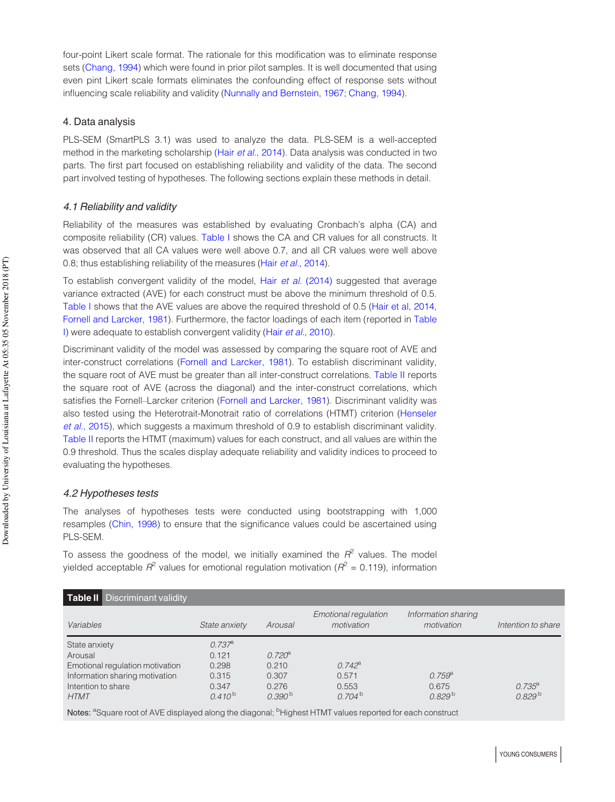four-point Likert scale format. The rationale for this modification was to eliminate response sets (Chang, 1994) which were found in prior pilot samples. It is well documented that using even pint Likert scale formats eliminates the confounding effect of response sets without influencing scale reliability and validity (Nunnally and Bernstein, 1967; Chang, 1994).

#### 4. Data analysis

PLS-SEM (SmartPLS 3.1) was used to analyze the data. PLS-SEM is a well-accepted method in the marketing scholarship (Hair *et al.*, 2014). Data analysis was conducted in two parts. The first part focused on establishing reliability and validity of the data. The second part involved testing of hypotheses. The following sections explain these methods in detail.

#### 4.1 Reliability and validity

Reliability of the measures was established by evaluating Cronbach's alpha (CA) and composite reliability (CR) values. Table I shows the CA and CR values for all constructs. It was observed that all CA values were well above 0.7, and all CR values were well above 0.8; thus establishing reliability of the measures (Hair *et al.*, 2014).

#### 4.2 Hypotheses tests

|                                                                                   | 0.8; thus establishing reliability of the measures (Hair et al., 2014).                                                                                                                                                                                                                                                                                                                                                                                                                                                                                                                                                                                                                                                                                                                                                                                                                                                  |                                                                    |                                                              |                                                              |                                            |                                       |
|-----------------------------------------------------------------------------------|--------------------------------------------------------------------------------------------------------------------------------------------------------------------------------------------------------------------------------------------------------------------------------------------------------------------------------------------------------------------------------------------------------------------------------------------------------------------------------------------------------------------------------------------------------------------------------------------------------------------------------------------------------------------------------------------------------------------------------------------------------------------------------------------------------------------------------------------------------------------------------------------------------------------------|--------------------------------------------------------------------|--------------------------------------------------------------|--------------------------------------------------------------|--------------------------------------------|---------------------------------------|
|                                                                                   | To establish convergent validity of the model, Hair et al. (2014) suggested that average<br>variance extracted (AVE) for each construct must be above the minimum threshold of 0.5.<br>Table I shows that the AVE values are above the required threshold of 0.5 (Hair et al, 2014,<br>Fornell and Larcker, 1981). Furthermore, the factor loadings of each item (reported in Table<br>I) were adequate to establish convergent validity (Hair et al., 2010).                                                                                                                                                                                                                                                                                                                                                                                                                                                            |                                                                    |                                                              |                                                              |                                            |                                       |
| Downloaded by University of Louisiana at Lafayette At 05:35 05 November 2018 (PT) | Discriminant validity of the model was assessed by comparing the square root of AVE and<br>inter-construct correlations (Fornell and Larcker, 1981). To establish discriminant validity,<br>the square root of AVE must be greater than all inter-construct correlations. Table II reports<br>the square root of AVE (across the diagonal) and the inter-construct correlations, which<br>satisfies the Fornell-Larcker criterion (Fornell and Larcker, 1981). Discriminant validity was<br>also tested using the Heterotrait-Monotrait ratio of correlations (HTMT) criterion (Henseler<br>et al., 2015), which suggests a maximum threshold of 0.9 to establish discriminant validity.<br>Table II reports the HTMT (maximum) values for each construct, and all values are within the<br>0.9 threshold. Thus the scales display adequate reliability and validity indices to proceed to<br>evaluating the hypotheses. |                                                                    |                                                              |                                                              |                                            |                                       |
|                                                                                   | 4.2 Hypotheses tests                                                                                                                                                                                                                                                                                                                                                                                                                                                                                                                                                                                                                                                                                                                                                                                                                                                                                                     |                                                                    |                                                              |                                                              |                                            |                                       |
|                                                                                   | The analyses of hypotheses tests were conducted using bootstrapping with 1,000<br>resamples (Chin, 1998) to ensure that the significance values could be ascertained using<br>PLS-SEM.                                                                                                                                                                                                                                                                                                                                                                                                                                                                                                                                                                                                                                                                                                                                   |                                                                    |                                                              |                                                              |                                            |                                       |
|                                                                                   | To assess the goodness of the model, we initially examined the $R^2$ values. The model<br>yielded acceptable $R^2$ values for emotional regulation motivation ( $R^2$ = 0.119), information                                                                                                                                                                                                                                                                                                                                                                                                                                                                                                                                                                                                                                                                                                                              |                                                                    |                                                              |                                                              |                                            |                                       |
|                                                                                   | <b>Discriminant validity</b><br>Table II                                                                                                                                                                                                                                                                                                                                                                                                                                                                                                                                                                                                                                                                                                                                                                                                                                                                                 |                                                                    |                                                              |                                                              |                                            |                                       |
|                                                                                   | Variables                                                                                                                                                                                                                                                                                                                                                                                                                                                                                                                                                                                                                                                                                                                                                                                                                                                                                                                | State anxiety                                                      | Arousal                                                      | Emotional regulation<br>motivation                           | Information sharing<br>motivation          | Intention to share                    |
|                                                                                   | State anxiety<br>Arousal<br>Emotional regulation motivation<br>Information sharing motivation<br>Intention to share<br><b>HTMT</b>                                                                                                                                                                                                                                                                                                                                                                                                                                                                                                                                                                                                                                                                                                                                                                                       | $0.737^{\rm a}$<br>0.121<br>0.298<br>0.315<br>0.347<br>$0.410^{b}$ | $0.720^{a}$<br>0.210<br>0.307<br>0.276<br>0.390 <sup>b</sup> | $0.742^{\mathrm{a}}$<br>0.571<br>0.553<br>0.704 <sup>b</sup> | $0.759^{a}$<br>0.675<br>0.829 <sup>b</sup> | $0.735^{\rm a}$<br>0.829 <sup>b</sup> |
|                                                                                   | Notes: <sup>a</sup> Square root of AVE displayed along the diagonal; <sup>b</sup> Highest HTMT values reported for each construct                                                                                                                                                                                                                                                                                                                                                                                                                                                                                                                                                                                                                                                                                                                                                                                        |                                                                    |                                                              |                                                              |                                            |                                       |
|                                                                                   |                                                                                                                                                                                                                                                                                                                                                                                                                                                                                                                                                                                                                                                                                                                                                                                                                                                                                                                          |                                                                    |                                                              |                                                              |                                            |                                       |
|                                                                                   |                                                                                                                                                                                                                                                                                                                                                                                                                                                                                                                                                                                                                                                                                                                                                                                                                                                                                                                          |                                                                    |                                                              |                                                              |                                            | YOUNG CONSUMERS                       |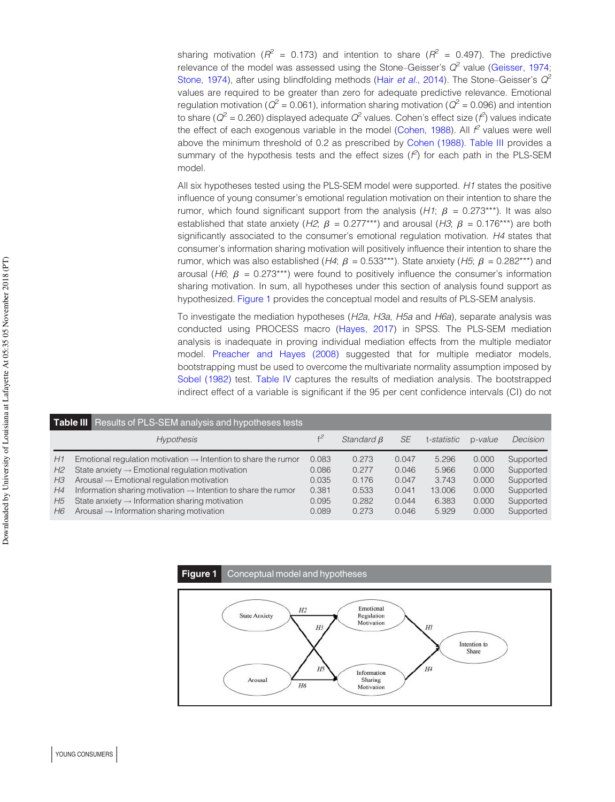sharing motivation ( $R^2$  = 0.173) and intention to share ( $R^2$  = 0.497). The predictive relevance of the model was assessed using the Stone–Geisser's  $Q^2$  value (Geisser, 1974; Stone, 1974), after using blindfolding methods (Hair *et al.*, 2014). The Stone-Geisser's Q<sup>2</sup> values are required to be greater than zero for adequate predictive relevance. Emotional regulation motivation ( $Q^2$  = 0.061), information sharing motivation ( $Q^2$  = 0.096) and intention to share ( $Q^2$  = 0.260) displayed adequate  $Q^2$  values. Cohen's effect size ( $\ell^2$ ) values indicate the effect of each exogenous variable in the model (Cohen, 1988). All  $f^2$  values were well above the minimum threshold of 0.2 as prescribed by Cohen (1988). Table III provides a summary of the hypothesis tests and the effect sizes ( $f$ ) for each path in the PLS-SEM model.

All six hypotheses tested using the PLS-SEM model were supported. *H1* states the positive influence of young consumer's emotional regulation motivation on their intention to share the rumor, which found significant support from the analysis ( $H1$ ;  $\beta = 0.273***$ ). It was also established that state anxiety ( $H2$ ;  $\beta$  = 0.277\*\*\*) and arousal ( $H3$ ;  $\beta$  = 0.176\*\*\*) are both significantly associated to the consumer's emotional regulation motivation. *H4* states that consumer's information sharing motivation will positively influence their intention to share the rumor, which was also established ( $H4$ ;  $\beta = 0.533$ \*\*\*). State anxiety ( $H5$ ;  $\beta = 0.282$ \*\*\*) and arousal ( $H6$ ;  $\beta$  = 0.273\*\*\*) were found to positively influence the consumer's information sharing motivation. In sum, all hypotheses under this section of analysis found support as hypothesized. Figure 1 provides the conceptual model and results of PLS-SEM analysis.

| To investigate the mediation hypotheses (H2a, H3a, H5a and H6a), separate analysis was<br>conducted using PROCESS macro (Hayes, 2017) in SPSS. The PLS-SEM mediation<br>analysis is inadequate in proving individual mediation effects from the multiple mediator<br>model. Preacher and Hayes (2008) suggested that for multiple mediator models,<br>bootstrapping must be used to overcome the multivariate normality assumption imposed by<br>Sobel (1982) test. Table IV captures the results of mediation analysis. The bootstrapped<br>indirect effect of a variable is significant if the 95 per cent confidence intervals (CI) do not<br>Table III Results of PLS-SEM analysis and hypotheses tests<br>$\mathfrak{f}^2$<br><b>Hypothesis</b><br>Standard $\beta$<br><b>SE</b><br>t-statistic<br>p-value<br>Emotional regulation motivation $\rightarrow$ Intention to share the rumor<br>Н1<br>0.083<br>0.273<br>0.047<br>5.296<br>0.000<br>H2<br>State anxiety $\rightarrow$ Emotional regulation motivation<br>0.086<br>0.277<br>0.046<br>5.966<br>0.000<br>0.035<br>HЗ<br>Arousal $\rightarrow$ Emotional regulation motivation<br>0.176<br>0.047<br>3.743<br>0.000<br>Information sharing motivation $\rightarrow$ Intention to share the rumor<br>0.381<br>0.533<br>0.041<br>H4<br>13.006<br>0.000<br>Supported<br>State anxiety $\rightarrow$ Information sharing motivation<br>0.095<br>0.282<br>0.044<br>6.383<br>0.000<br>H5<br>H <sub>6</sub><br>Arousal $\rightarrow$ Information sharing motivation<br>0.089<br>0.273<br>0.046<br>5.929<br>0.000<br>Conceptual model and hypotheses<br>Figure 1 | Emotional<br>H2<br><b>State Anxiety</b><br>Regulation<br>Motivation<br>H <sub>3</sub><br>Hl | rumor, which was also established (H4; $\beta = 0.533***$ ). State anxiety (H5; $\beta = 0.282***$ ) and<br>arousal (H6; $\beta$ = 0.273***) were found to positively influence the consumer's information<br>sharing motivation. In sum, all hypotheses under this section of analysis found support as<br>hypothesized. Figure 1 provides the conceptual model and results of PLS-SEM analysis. |  |  |                        |
|---------------------------------------------------------------------------------------------------------------------------------------------------------------------------------------------------------------------------------------------------------------------------------------------------------------------------------------------------------------------------------------------------------------------------------------------------------------------------------------------------------------------------------------------------------------------------------------------------------------------------------------------------------------------------------------------------------------------------------------------------------------------------------------------------------------------------------------------------------------------------------------------------------------------------------------------------------------------------------------------------------------------------------------------------------------------------------------------------------------------------------------------------------------------------------------------------------------------------------------------------------------------------------------------------------------------------------------------------------------------------------------------------------------------------------------------------------------------------------------------------------------------------------------------------------------------------------------------------------------------|---------------------------------------------------------------------------------------------|---------------------------------------------------------------------------------------------------------------------------------------------------------------------------------------------------------------------------------------------------------------------------------------------------------------------------------------------------------------------------------------------------|--|--|------------------------|
|                                                                                                                                                                                                                                                                                                                                                                                                                                                                                                                                                                                                                                                                                                                                                                                                                                                                                                                                                                                                                                                                                                                                                                                                                                                                                                                                                                                                                                                                                                                                                                                                                     |                                                                                             |                                                                                                                                                                                                                                                                                                                                                                                                   |  |  |                        |
|                                                                                                                                                                                                                                                                                                                                                                                                                                                                                                                                                                                                                                                                                                                                                                                                                                                                                                                                                                                                                                                                                                                                                                                                                                                                                                                                                                                                                                                                                                                                                                                                                     |                                                                                             |                                                                                                                                                                                                                                                                                                                                                                                                   |  |  |                        |
|                                                                                                                                                                                                                                                                                                                                                                                                                                                                                                                                                                                                                                                                                                                                                                                                                                                                                                                                                                                                                                                                                                                                                                                                                                                                                                                                                                                                                                                                                                                                                                                                                     |                                                                                             |                                                                                                                                                                                                                                                                                                                                                                                                   |  |  | Decision               |
|                                                                                                                                                                                                                                                                                                                                                                                                                                                                                                                                                                                                                                                                                                                                                                                                                                                                                                                                                                                                                                                                                                                                                                                                                                                                                                                                                                                                                                                                                                                                                                                                                     |                                                                                             |                                                                                                                                                                                                                                                                                                                                                                                                   |  |  | Supported<br>Supported |
|                                                                                                                                                                                                                                                                                                                                                                                                                                                                                                                                                                                                                                                                                                                                                                                                                                                                                                                                                                                                                                                                                                                                                                                                                                                                                                                                                                                                                                                                                                                                                                                                                     |                                                                                             |                                                                                                                                                                                                                                                                                                                                                                                                   |  |  | Supported              |
|                                                                                                                                                                                                                                                                                                                                                                                                                                                                                                                                                                                                                                                                                                                                                                                                                                                                                                                                                                                                                                                                                                                                                                                                                                                                                                                                                                                                                                                                                                                                                                                                                     |                                                                                             |                                                                                                                                                                                                                                                                                                                                                                                                   |  |  | Supported              |
|                                                                                                                                                                                                                                                                                                                                                                                                                                                                                                                                                                                                                                                                                                                                                                                                                                                                                                                                                                                                                                                                                                                                                                                                                                                                                                                                                                                                                                                                                                                                                                                                                     |                                                                                             |                                                                                                                                                                                                                                                                                                                                                                                                   |  |  | Supported              |
|                                                                                                                                                                                                                                                                                                                                                                                                                                                                                                                                                                                                                                                                                                                                                                                                                                                                                                                                                                                                                                                                                                                                                                                                                                                                                                                                                                                                                                                                                                                                                                                                                     |                                                                                             |                                                                                                                                                                                                                                                                                                                                                                                                   |  |  |                        |
| Intention to<br>Share<br>H <sub>5</sub><br>H <sub>4</sub><br>Information                                                                                                                                                                                                                                                                                                                                                                                                                                                                                                                                                                                                                                                                                                                                                                                                                                                                                                                                                                                                                                                                                                                                                                                                                                                                                                                                                                                                                                                                                                                                            |                                                                                             |                                                                                                                                                                                                                                                                                                                                                                                                   |  |  |                        |



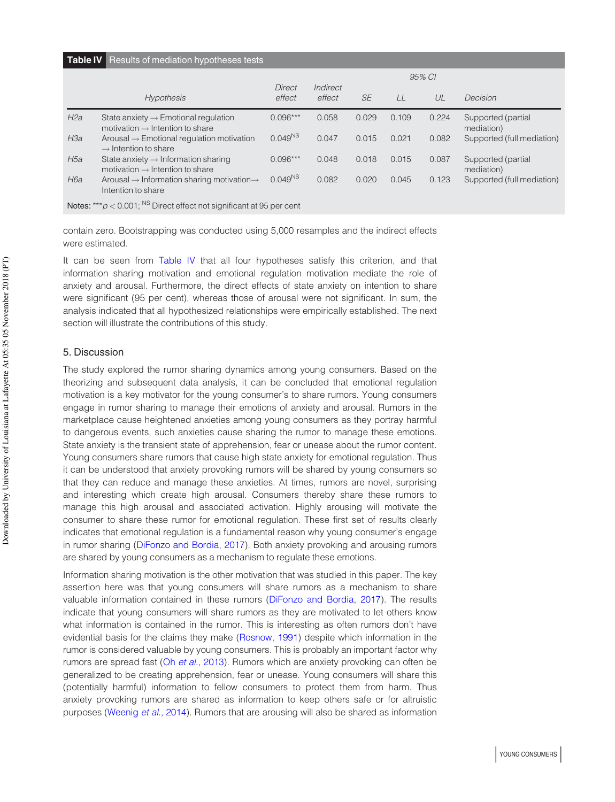#### Table IV Results of mediation hypotheses tests

|        |                                                                                                 |                     |                    | $95\%$ Cl |         |       |                                  |  |  |
|--------|-------------------------------------------------------------------------------------------------|---------------------|--------------------|-----------|---------|-------|----------------------------------|--|--|
|        | <b>Hypothesis</b>                                                                               | Direct<br>effect    | Indirect<br>effect | <b>SE</b> | $\perp$ | UL    | Decision                         |  |  |
| H2a    | State anxiety $\rightarrow$ Emotional regulation<br>motivation $\rightarrow$ Intention to share | $0.096***$          | 0.058              | 0.029     | 0.109   | 0.224 | Supported (partial<br>mediation) |  |  |
| $H$ 3a | Arousal $\rightarrow$ Emotional regulation motivation<br>$\rightarrow$ Intention to share       | 0.049 <sup>NS</sup> | 0.047              | 0.015     | 0.021   | 0.082 | Supported (full mediation)       |  |  |
| H5a    | State anxiety $\rightarrow$ Information sharing<br>motivation $\rightarrow$ Intention to share  | $0.096***$          | 0.048              | 0.018     | 0.015   | 0.087 | Supported (partial<br>mediation) |  |  |
| H6a    | Arousal $\rightarrow$ Information sharing motivation $\rightarrow$<br>Intention to share        | $0.049^{NS}$        | 0.082              | 0.020     | 0.045   | 0.123 | Supported (full mediation)       |  |  |
|        | Notes: *** $p < 0.001$ ; <sup>NS</sup> Direct effect not significant at 95 per cent             |                     |                    |           |         |       |                                  |  |  |

contain zero. Bootstrapping was conducted using 5,000 resamples and the indirect effects were estimated.

It can be seen from Table IV that all four hypotheses satisfy this criterion, and that information sharing motivation and emotional regulation motivation mediate the role of anxiety and arousal. Furthermore, the direct effects of state anxiety on intention to share were significant (95 per cent), whereas those of arousal were not significant. In sum, the analysis indicated that all hypothesized relationships were empirically established. The next section will illustrate the contributions of this study.

#### 5. Discussion

The study explored the rumor sharing dynamics among young consumers. Based on the theorizing and subsequent data analysis, it can be concluded that emotional regulation motivation is a key motivator for the young consumer's to share rumors. Young consumers engage in rumor sharing to manage their emotions of anxiety and arousal. Rumors in the marketplace cause heightened anxieties among young consumers as they portray harmful to dangerous events, such anxieties cause sharing the rumor to manage these emotions. State anxiety is the transient state of apprehension, fear or unease about the rumor content. Young consumers share rumors that cause high state anxiety for emotional regulation. Thus it can be understood that anxiety provoking rumors will be shared by young consumers so that they can reduce and manage these anxieties. At times, rumors are novel, surprising and interesting which create high arousal. Consumers thereby share these rumors to manage this high arousal and associated activation. Highly arousing will motivate the consumer to share these rumor for emotional regulation. These first set of results clearly indicates that emotional regulation is a fundamental reason why young consumer's engage in rumor sharing (DiFonzo and Bordia, 2017). Both anxiety provoking and arousing rumors are shared by young consumers as a mechanism to regulate these emotions. From the term of the latter interest in the state in the latter state of the state of the state of Louisiana Consumer Consumer Consumer Consumer Consumer Consumer Consumer Consumer Consumer Consumer Consumer Consumer Cons

Information sharing motivation is the other motivation that was studied in this paper. The key assertion here was that young consumers will share rumors as a mechanism to share valuable information contained in these rumors (DiFonzo and Bordia, 2017). The results indicate that young consumers will share rumors as they are motivated to let others know what information is contained in the rumor. This is interesting as often rumors don't have evidential basis for the claims they make (Rosnow, 1991) despite which information in the rumor is considered valuable by young consumers. This is probably an important factor why rumors are spread fast (Oh *et al.*, 2013). Rumors which are anxiety provoking can often be generalized to be creating apprehension, fear or unease. Young consumers will share this (potentially harmful) information to fellow consumers to protect them from harm. Thus anxiety provoking rumors are shared as information to keep others safe or for altruistic purposes (Weenig *et al.*, 2014). Rumors that are arousing will also be shared as information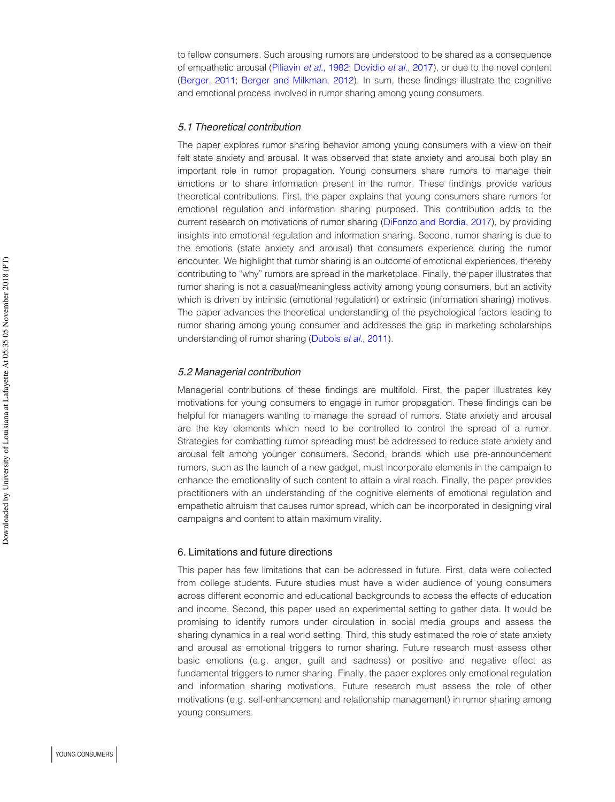to fellow consumers. Such arousing rumors are understood to be shared as a consequence of empathetic arousal (Piliavin *et al.*, 1982; Dovidio *et al.*, 2017), or due to the novel content (Berger, 2011; Berger and Milkman, 2012). In sum, these findings illustrate the cognitive and emotional process involved in rumor sharing among young consumers.

#### 5.1 Theoretical contribution

The paper explores rumor sharing behavior among young consumers with a view on their felt state anxiety and arousal. It was observed that state anxiety and arousal both play an important role in rumor propagation. Young consumers share rumors to manage their emotions or to share information present in the rumor. These findings provide various theoretical contributions. First, the paper explains that young consumers share rumors for emotional regulation and information sharing purposed. This contribution adds to the current research on motivations of rumor sharing (DiFonzo and Bordia, 2017), by providing insights into emotional regulation and information sharing. Second, rumor sharing is due to the emotions (state anxiety and arousal) that consumers experience during the rumor encounter. We highlight that rumor sharing is an outcome of emotional experiences, thereby contributing to "why" rumors are spread in the marketplace. Finally, the paper illustrates that rumor sharing is not a casual/meaningless activity among young consumers, but an activity which is driven by intrinsic (emotional regulation) or extrinsic (information sharing) motives. The paper advances the theoretical understanding of the psychological factors leading to rumor sharing among young consumer and addresses the gap in marketing scholarships understanding of rumor sharing (Dubois *et al.*, 2011).

#### 5.2 Managerial contribution

Managerial contributions of these findings are multifold. First, the paper illustrates key motivations for young consumers to engage in rumor propagation. These findings can be helpful for managers wanting to manage the spread of rumors. State anxiety and arousal are the key elements which need to be controlled to control the spread of a rumor. Strategies for combatting rumor spreading must be addressed to reduce state anxiety and arousal felt among younger consumers. Second, brands which use pre-announcement rumors, such as the launch of a new gadget, must incorporate elements in the campaign to enhance the emotionality of such content to attain a viral reach. Finally, the paper provides practitioners with an understanding of the cognitive elements of emotional regulation and empathetic altruism that causes rumor spread, which can be incorporated in designing viral campaigns and content to attain maximum virality.

#### 6. Limitations and future directions

This paper has few limitations that can be addressed in future. First, data were collected from college students. Future studies must have a wider audience of young consumers across different economic and educational backgrounds to access the effects of education and income. Second, this paper used an experimental setting to gather data. It would be promising to identify rumors under circulation in social media groups and assess the sharing dynamics in a real world setting. Third, this study estimated the role of state anxiety and arousal as emotional triggers to rumor sharing. Future research must assess other basic emotions (e.g. anger, guilt and sadness) or positive and negative effect as fundamental triggers to rumor sharing. Finally, the paper explores only emotional regulation and information sharing motivations. Future research must assess the role of other motivations (e.g. self-enhancement and relationship management) in rumor sharing among young consumers.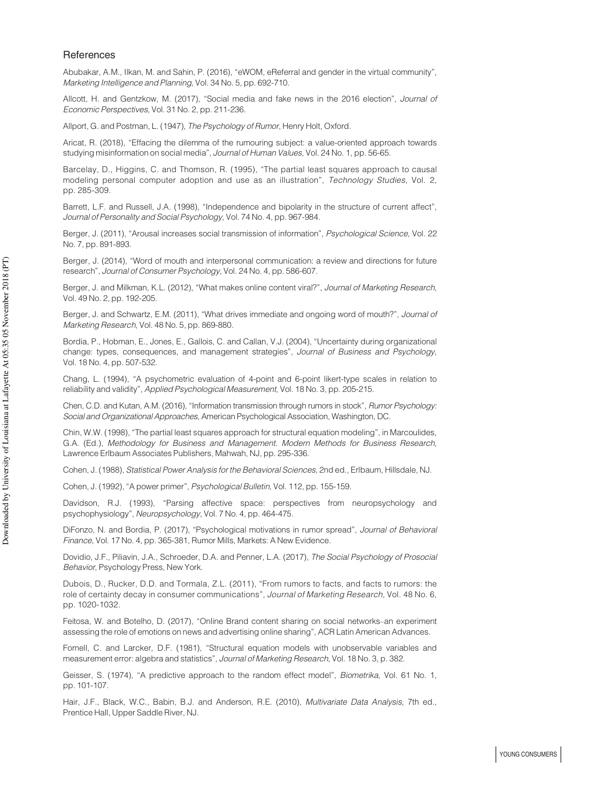#### **References**

Abubakar, A.M., Ilkan, M. and Sahin, P. (2016), "eWOM, eReferral and gender in the virtual community", *Marketing Intelligence and Planning*, Vol. 34 No. 5, pp. 692-710.

Allcott, H. and Gentzkow, M. (2017), "Social media and fake news in the 2016 election", *Journal of Economic Perspectives*, Vol. 31 No. 2, pp. 211-236.

Allport, G. and Postman, L. (1947), *The Psychology of Rumor*, Henry Holt, Oxford.

Aricat, R. (2018), "Effacing the dilemma of the rumouring subject: a value-oriented approach towards studying misinformation on social media", *Journal of Human Values*, Vol. 24 No. 1, pp. 56-65.

Barcelay, D., Higgins, C. and Thomson, R. (1995), "The partial least squares approach to causal modeling personal computer adoption and use as an illustration", *Technology Studies*, Vol. 2, pp. 285-309.

Barrett, L.F. and Russell, J.A. (1998), "Independence and bipolarity in the structure of current affect", *Journal of Personality and Social Psychology*, Vol. 74 No. 4, pp. 967-984.

Berger, J. (2011), "Arousal increases social transmission of information", *Psychological Science*, Vol. 22 No. 7, pp. 891-893.

Berger, J. (2014), "Word of mouth and interpersonal communication: a review and directions for future research", *Journal of Consumer Psychology*, Vol. 24 No. 4, pp. 586-607.

Berger, J. and Milkman, K.L. (2012), "What makes online content viral?", *Journal of Marketing Research*, Vol. 49 No. 2, pp. 192-205.

Berger, J. and Schwartz, E.M. (2011), "What drives immediate and ongoing word of mouth?", *Journal of Marketing Research*, Vol. 48 No. 5, pp. 869-880.

Bordia, P., Hobman, E., Jones, E., Gallois, C. and Callan, V.J. (2004), "Uncertainty during organizational change: types, consequences, and management strategies", *Journal of Business and Psychology*, Vol. 18 No. 4, pp. 507-532. Hoppy 1.2 (2013) World Prices and Theorem at The Point System at Lafayette At 2013, the stationary at Lafayette At 2013, the stationary at Lafayette At 2015 of Louisiana at Lafayette At 2015 of Louisiana at Lafayette At 2

Chang, L. (1994), "A psychometric evaluation of 4-point and 6-point likert-type scales in relation to reliability and validity", *Applied Psychological Measurement*, Vol. 18 No. 3, pp. 205-215.

Chen, C.D. and Kutan, A.M. (2016), "Information transmission through rumors in stock", *Rumor Psychology: Social and Organizational Approaches*, American Psychological Association, Washington, DC.

Chin, W.W. (1998), "The partial least squares approach for structural equation modeling", in Marcoulides, G.A. (Ed.), *Methodology for Business and Management. Modern Methods for Business Research*, Lawrence Erlbaum Associates Publishers, Mahwah, NJ, pp. 295-336.

Cohen, J. (1988), *Statistical Power Analysis for the Behavioral Sciences*, 2nd ed., Erlbaum, Hillsdale, NJ.

Cohen, J. (1992), "A power primer", *Psychological Bulletin*, Vol. 112, pp. 155-159.

Davidson, R.J. (1993), "Parsing affective space: perspectives from neuropsychology and psychophysiology", *Neuropsychology*, Vol. 7 No. 4, pp. 464-475.

DiFonzo, N. and Bordia, P. (2017), "Psychological motivations in rumor spread", *Journal of Behavioral Finance*, Vol. 17 No. 4, pp. 365-381, Rumor Mills, Markets: A New Evidence.

Dovidio, J.F., Piliavin, J.A., Schroeder, D.A. and Penner, L.A. (2017), *The Social Psychology of Prosocial Behavior*, Psychology Press, New York.

Dubois, D., Rucker, D.D. and Tormala, Z.L. (2011), "From rumors to facts, and facts to rumors: the role of certainty decay in consumer communications", *Journal of Marketing Research*, Vol. 48 No. 6, pp. 1020-1032.

Feitosa, W. and Botelho, D. (2017), "Online Brand content sharing on social networks–an experiment assessing the role of emotions on news and advertising online sharing", ACR Latin American Advances.

Fornell, C. and Larcker, D.F. (1981), "Structural equation models with unobservable variables and measurement error: algebra and statistics", *Journal of Marketing Research*, Vol. 18 No. 3, p. 382.

Geisser, S. (1974), "A predictive approach to the random effect model", *Biometrika*, Vol. 61 No. 1, pp. 101-107.

Hair, J.F., Black, W.C., Babin, B.J. and Anderson, R.E. (2010), *Multivariate Data Analysis*, 7th ed., Prentice Hall, Upper Saddle River, NJ.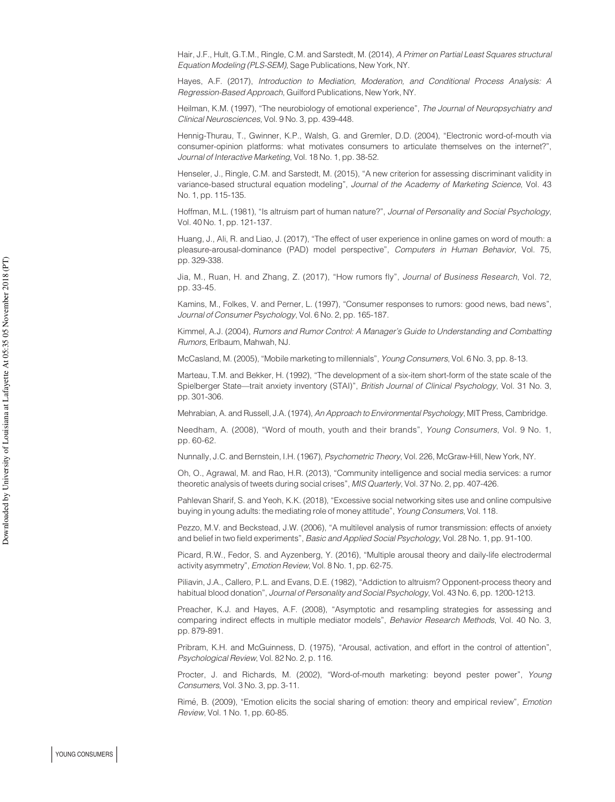Hair, J.F., Hult, G.T.M., Ringle, C.M. and Sarstedt, M. (2014), *A Primer on Partial Least Squares structural Equation Modeling (PLS-SEM)*, Sage Publications, New York, NY.

Hayes, A.F. (2017), *Introduction to Mediation, Moderation, and Conditional Process Analysis: A Regression-Based Approach*, Guilford Publications, New York, NY.

Heilman, K.M. (1997), "The neurobiology of emotional experience", *The Journal of Neuropsychiatry and Clinical Neurosciences*, Vol. 9 No. 3, pp. 439-448.

Hennig-Thurau, T., Gwinner, K.P., Walsh, G. and Gremler, D.D. (2004), "Electronic word-of-mouth via consumer-opinion platforms: what motivates consumers to articulate themselves on the internet?", *Journal of Interactive Marketing*, Vol. 18 No. 1, pp. 38-52.

Henseler, J., Ringle, C.M. and Sarstedt, M. (2015), "A new criterion for assessing discriminant validity in variance-based structural equation modeling", *Journal of the Academy of Marketing Science*, Vol. 43 No. 1, pp. 115-135.

Hoffman, M.L. (1981), "Is altruism part of human nature?", *Journal of Personality and Social Psychology*, Vol. 40 No. 1, pp. 121-137.

Huang, J., Ali, R. and Liao, J. (2017), "The effect of user experience in online games on word of mouth: a pleasure-arousal-dominance (PAD) model perspective", *Computers in Human Behavior*, Vol. 75, pp. 329-338.

Jia, M., Ruan, H. and Zhang, Z. (2017), "How rumors fly", *Journal of Business Research*, Vol. 72, pp. 33-45.

Kamins, M., Folkes, V. and Perner, L. (1997), "Consumer responses to rumors: good news, bad news", *Journal of Consumer Psychology*, Vol. 6 No. 2, pp. 165-187.

Kimmel, A.J. (2004), *Rumors and Rumor Control: A Manager's Guide to Understanding and Combatting Rumors*, Erlbaum, Mahwah, NJ.

McCasland, M. (2005), "Mobile marketing to millennials", *Young Consumers*, Vol. 6 No. 3, pp. 8-13.

Marteau, T.M. and Bekker, H. (1992), "The development of a six-item short-form of the state scale of the Spielberger State—trait anxiety inventory (STAI)", *British Journal of Clinical Psychology*, Vol. 31 No. 3, pp. 301-306.

Mehrabian, A. and Russell, J.A. (1974), *An Approach to Environmental Psychology*, MIT Press, Cambridge.

Needham, A. (2008), "Word of mouth, youth and their brands", *Young Consumers*, Vol. 9 No. 1, pp. 60-62.

Nunnally, J.C. and Bernstein, I.H. (1967), *Psychometric Theory*, Vol. 226, McGraw-Hill, New York, NY.

Oh, O., Agrawal, M. and Rao, H.R. (2013), "Community intelligence and social media services: a rumor theoretic analysis of tweets during social crises", *MIS Quarterly*, Vol. 37 No. 2, pp. 407-426.

Pahlevan Sharif, S. and Yeoh, K.K. (2018), "Excessive social networking sites use and online compulsive buying in young adults: the mediating role of money attitude", *Young Consumers*, Vol. 118.

Pezzo, M.V. and Beckstead, J.W. (2006), "A multilevel analysis of rumor transmission: effects of anxiety and belief in two field experiments", *Basic and Applied Social Psychology*, Vol. 28 No. 1, pp. 91-100.

Picard, R.W., Fedor, S. and Ayzenberg, Y. (2016), "Multiple arousal theory and daily-life electrodermal activity asymmetry", *Emotion Review*, Vol. 8 No. 1, pp. 62-75.

Piliavin, J.A., Callero, P.L. and Evans, D.E. (1982), "Addiction to altruism? Opponent-process theory and habitual blood donation", *Journal of Personality and Social Psychology*, Vol. 43 No. 6, pp. 1200-1213.

Preacher, K.J. and Hayes, A.F. (2008), "Asymptotic and resampling strategies for assessing and comparing indirect effects in multiple mediator models", *Behavior Research Methods*, Vol. 40 No. 3, pp. 879-891.

Pribram, K.H. and McGuinness, D. (1975), "Arousal, activation, and effort in the control of attention", *Psychological Review*, Vol. 82 No. 2, p. 116.

Procter, J. and Richards, M. (2002), "Word-of-mouth marketing: beyond pester power", *Young Consumers*, Vol. 3 No. 3, pp. 3-11.

Rime´, B. (2009), "Emotion elicits the social sharing of emotion: theory and empirical review", *Emotion Review*, Vol. 1 No. 1, pp. 60-85.